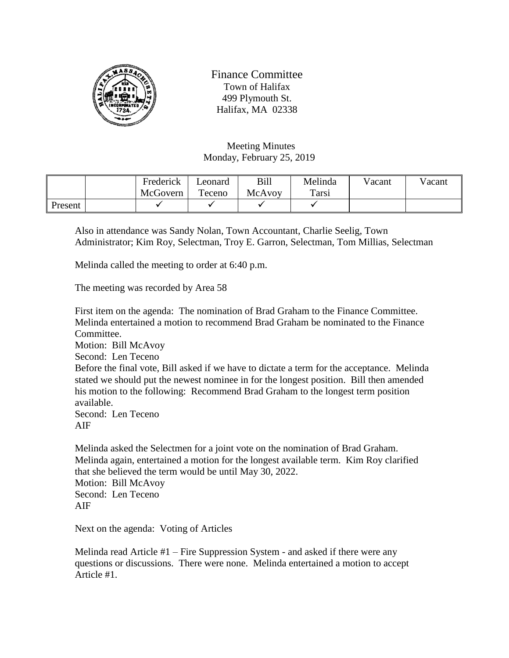

Finance Committee Town of Halifax 499 Plymouth St. Halifax, MA 02338

Meeting Minutes Monday, February 25, 2019

|         | Frederick | Leonard | Bill   | Melinda | Vacant | Vacant |
|---------|-----------|---------|--------|---------|--------|--------|
|         | McGovern  | Teceno  | McAvoy | Tarsi   |        |        |
| Present |           |         |        |         |        |        |

Also in attendance was Sandy Nolan, Town Accountant, Charlie Seelig, Town Administrator; Kim Roy, Selectman, Troy E. Garron, Selectman, Tom Millias, Selectman

Melinda called the meeting to order at 6:40 p.m.

The meeting was recorded by Area 58

First item on the agenda: The nomination of Brad Graham to the Finance Committee. Melinda entertained a motion to recommend Brad Graham be nominated to the Finance Committee. Motion: Bill McAvoy Second: Len Teceno Before the final vote, Bill asked if we have to dictate a term for the acceptance. Melinda stated we should put the newest nominee in for the longest position. Bill then amended his motion to the following: Recommend Brad Graham to the longest term position available. Second: Len Teceno AIF

Melinda asked the Selectmen for a joint vote on the nomination of Brad Graham. Melinda again, entertained a motion for the longest available term. Kim Roy clarified that she believed the term would be until May 30, 2022. Motion: Bill McAvoy Second: Len Teceno AIF

Next on the agenda: Voting of Articles

Melinda read Article #1 – Fire Suppression System - and asked if there were any questions or discussions. There were none. Melinda entertained a motion to accept Article #1.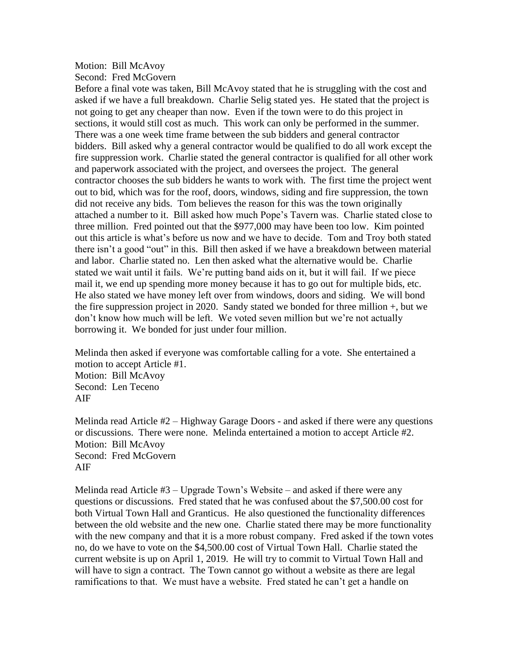## Motion: Bill McAvoy Second: Fred McGovern

Before a final vote was taken, Bill McAvoy stated that he is struggling with the cost and asked if we have a full breakdown. Charlie Selig stated yes. He stated that the project is not going to get any cheaper than now. Even if the town were to do this project in sections, it would still cost as much. This work can only be performed in the summer. There was a one week time frame between the sub bidders and general contractor bidders. Bill asked why a general contractor would be qualified to do all work except the fire suppression work. Charlie stated the general contractor is qualified for all other work and paperwork associated with the project, and oversees the project. The general contractor chooses the sub bidders he wants to work with. The first time the project went out to bid, which was for the roof, doors, windows, siding and fire suppression, the town did not receive any bids. Tom believes the reason for this was the town originally attached a number to it. Bill asked how much Pope's Tavern was. Charlie stated close to three million. Fred pointed out that the \$977,000 may have been too low. Kim pointed out this article is what's before us now and we have to decide. Tom and Troy both stated there isn't a good "out" in this. Bill then asked if we have a breakdown between material and labor. Charlie stated no. Len then asked what the alternative would be. Charlie stated we wait until it fails. We're putting band aids on it, but it will fail. If we piece mail it, we end up spending more money because it has to go out for multiple bids, etc. He also stated we have money left over from windows, doors and siding. We will bond the fire suppression project in 2020. Sandy stated we bonded for three million +, but we don't know how much will be left. We voted seven million but we're not actually borrowing it. We bonded for just under four million.

Melinda then asked if everyone was comfortable calling for a vote. She entertained a motion to accept Article #1. Motion: Bill McAvoy Second: Len Teceno AIF

Melinda read Article #2 – Highway Garage Doors - and asked if there were any questions or discussions. There were none. Melinda entertained a motion to accept Article #2. Motion: Bill McAvoy Second: Fred McGovern AIF

Melinda read Article  $#3 - \text{Upgrade}$  Town's Website – and asked if there were any questions or discussions. Fred stated that he was confused about the \$7,500.00 cost for both Virtual Town Hall and Granticus. He also questioned the functionality differences between the old website and the new one. Charlie stated there may be more functionality with the new company and that it is a more robust company. Fred asked if the town votes no, do we have to vote on the \$4,500.00 cost of Virtual Town Hall. Charlie stated the current website is up on April 1, 2019. He will try to commit to Virtual Town Hall and will have to sign a contract. The Town cannot go without a website as there are legal ramifications to that. We must have a website. Fred stated he can't get a handle on